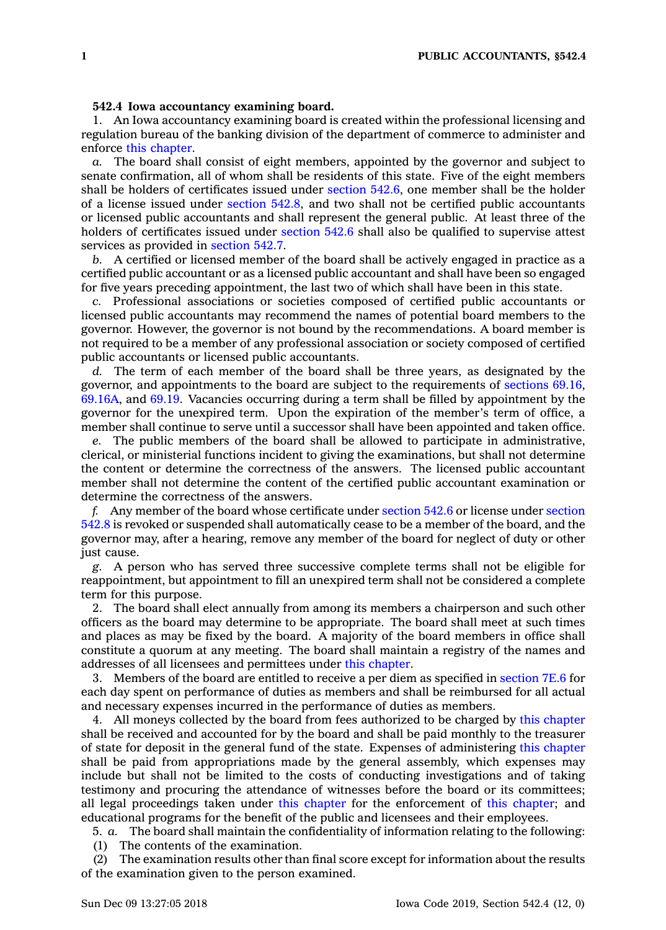## **542.4 Iowa accountancy examining board.**

1. An Iowa accountancy examining board is created within the professional licensing and regulation bureau of the banking division of the department of commerce to administer and enforce this [chapter](https://www.legis.iowa.gov/docs/code//542.pdf).

*a.* The board shall consist of eight members, appointed by the governor and subject to senate confirmation, all of whom shall be residents of this state. Five of the eight members shall be holders of certificates issued under [section](https://www.legis.iowa.gov/docs/code/542.6.pdf) 542.6, one member shall be the holder of <sup>a</sup> license issued under [section](https://www.legis.iowa.gov/docs/code/542.8.pdf) 542.8, and two shall not be certified public accountants or licensed public accountants and shall represent the general public. At least three of the holders of certificates issued under [section](https://www.legis.iowa.gov/docs/code/542.6.pdf) 542.6 shall also be qualified to supervise attest services as provided in [section](https://www.legis.iowa.gov/docs/code/542.7.pdf) 542.7.

*b.* A certified or licensed member of the board shall be actively engaged in practice as <sup>a</sup> certified public accountant or as <sup>a</sup> licensed public accountant and shall have been so engaged for five years preceding appointment, the last two of which shall have been in this state.

*c.* Professional associations or societies composed of certified public accountants or licensed public accountants may recommend the names of potential board members to the governor. However, the governor is not bound by the recommendations. A board member is not required to be <sup>a</sup> member of any professional association or society composed of certified public accountants or licensed public accountants.

*d.* The term of each member of the board shall be three years, as designated by the governor, and appointments to the board are subject to the requirements of [sections](https://www.legis.iowa.gov/docs/code/69.16.pdf) 69.16, [69.16A](https://www.legis.iowa.gov/docs/code/69.16A.pdf), and [69.19](https://www.legis.iowa.gov/docs/code/69.19.pdf). Vacancies occurring during <sup>a</sup> term shall be filled by appointment by the governor for the unexpired term. Upon the expiration of the member's term of office, <sup>a</sup> member shall continue to serve until <sup>a</sup> successor shall have been appointed and taken office.

*e.* The public members of the board shall be allowed to participate in administrative, clerical, or ministerial functions incident to giving the examinations, but shall not determine the content or determine the correctness of the answers. The licensed public accountant member shall not determine the content of the certified public accountant examination or determine the correctness of the answers.

*f.* Any member of the board whose certificate under [section](https://www.legis.iowa.gov/docs/code/542.6.pdf) 542.6 or license under [section](https://www.legis.iowa.gov/docs/code/542.8.pdf) [542.8](https://www.legis.iowa.gov/docs/code/542.8.pdf) is revoked or suspended shall automatically cease to be <sup>a</sup> member of the board, and the governor may, after <sup>a</sup> hearing, remove any member of the board for neglect of duty or other just cause.

*g.* A person who has served three successive complete terms shall not be eligible for reappointment, but appointment to fill an unexpired term shall not be considered <sup>a</sup> complete term for this purpose.

2. The board shall elect annually from among its members <sup>a</sup> chairperson and such other officers as the board may determine to be appropriate. The board shall meet at such times and places as may be fixed by the board. A majority of the board members in office shall constitute <sup>a</sup> quorum at any meeting. The board shall maintain <sup>a</sup> registry of the names and addresses of all licensees and permittees under this [chapter](https://www.legis.iowa.gov/docs/code//542.pdf).

3. Members of the board are entitled to receive <sup>a</sup> per diem as specified in [section](https://www.legis.iowa.gov/docs/code/7E.6.pdf) 7E.6 for each day spent on performance of duties as members and shall be reimbursed for all actual and necessary expenses incurred in the performance of duties as members.

4. All moneys collected by the board from fees authorized to be charged by this [chapter](https://www.legis.iowa.gov/docs/code//542.pdf) shall be received and accounted for by the board and shall be paid monthly to the treasurer of state for deposit in the general fund of the state. Expenses of administering this [chapter](https://www.legis.iowa.gov/docs/code//542.pdf) shall be paid from appropriations made by the general assembly, which expenses may include but shall not be limited to the costs of conducting investigations and of taking testimony and procuring the attendance of witnesses before the board or its committees; all legal proceedings taken under this [chapter](https://www.legis.iowa.gov/docs/code//542.pdf) for the enforcement of this [chapter](https://www.legis.iowa.gov/docs/code//542.pdf); and educational programs for the benefit of the public and licensees and their employees.

5. *a.* The board shall maintain the confidentiality of information relating to the following: (1) The contents of the examination.

(2) The examination results other than final score except for information about the results of the examination given to the person examined.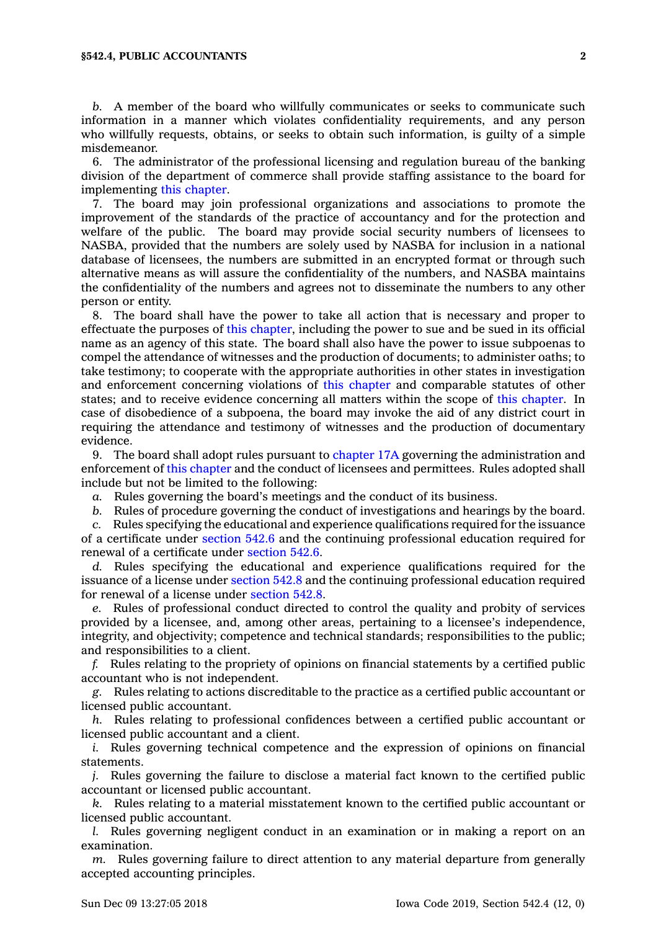*b.* A member of the board who willfully communicates or seeks to communicate such information in <sup>a</sup> manner which violates confidentiality requirements, and any person who willfully requests, obtains, or seeks to obtain such information, is guilty of <sup>a</sup> simple misdemeanor.

6. The administrator of the professional licensing and regulation bureau of the banking division of the department of commerce shall provide staffing assistance to the board for implementing this [chapter](https://www.legis.iowa.gov/docs/code//542.pdf).

7. The board may join professional organizations and associations to promote the improvement of the standards of the practice of accountancy and for the protection and welfare of the public. The board may provide social security numbers of licensees to NASBA, provided that the numbers are solely used by NASBA for inclusion in <sup>a</sup> national database of licensees, the numbers are submitted in an encrypted format or through such alternative means as will assure the confidentiality of the numbers, and NASBA maintains the confidentiality of the numbers and agrees not to disseminate the numbers to any other person or entity.

8. The board shall have the power to take all action that is necessary and proper to effectuate the purposes of this [chapter](https://www.legis.iowa.gov/docs/code//542.pdf), including the power to sue and be sued in its official name as an agency of this state. The board shall also have the power to issue subpoenas to compel the attendance of witnesses and the production of documents; to administer oaths; to take testimony; to cooperate with the appropriate authorities in other states in investigation and enforcement concerning violations of this [chapter](https://www.legis.iowa.gov/docs/code//542.pdf) and comparable statutes of other states; and to receive evidence concerning all matters within the scope of this [chapter](https://www.legis.iowa.gov/docs/code//542.pdf). In case of disobedience of <sup>a</sup> subpoena, the board may invoke the aid of any district court in requiring the attendance and testimony of witnesses and the production of documentary evidence.

9. The board shall adopt rules pursuant to [chapter](https://www.legis.iowa.gov/docs/code//17A.pdf) 17A governing the administration and enforcement of this [chapter](https://www.legis.iowa.gov/docs/code//542.pdf) and the conduct of licensees and permittees. Rules adopted shall include but not be limited to the following:

*a.* Rules governing the board's meetings and the conduct of its business.

*b.* Rules of procedure governing the conduct of investigations and hearings by the board.

*c.* Rules specifying the educational and experience qualifications required for the issuance of <sup>a</sup> certificate under [section](https://www.legis.iowa.gov/docs/code/542.6.pdf) 542.6 and the continuing professional education required for renewal of <sup>a</sup> certificate under [section](https://www.legis.iowa.gov/docs/code/542.6.pdf) 542.6.

*d.* Rules specifying the educational and experience qualifications required for the issuance of <sup>a</sup> license under [section](https://www.legis.iowa.gov/docs/code/542.8.pdf) 542.8 and the continuing professional education required for renewal of <sup>a</sup> license under [section](https://www.legis.iowa.gov/docs/code/542.8.pdf) 542.8.

*e.* Rules of professional conduct directed to control the quality and probity of services provided by <sup>a</sup> licensee, and, among other areas, pertaining to <sup>a</sup> licensee's independence, integrity, and objectivity; competence and technical standards; responsibilities to the public; and responsibilities to <sup>a</sup> client.

*f.* Rules relating to the propriety of opinions on financial statements by <sup>a</sup> certified public accountant who is not independent.

*g.* Rules relating to actions discreditable to the practice as <sup>a</sup> certified public accountant or licensed public accountant.

*h.* Rules relating to professional confidences between <sup>a</sup> certified public accountant or licensed public accountant and <sup>a</sup> client.

*i.* Rules governing technical competence and the expression of opinions on financial statements.

*j.* Rules governing the failure to disclose <sup>a</sup> material fact known to the certified public accountant or licensed public accountant.

*k.* Rules relating to <sup>a</sup> material misstatement known to the certified public accountant or licensed public accountant.

*l.* Rules governing negligent conduct in an examination or in making <sup>a</sup> report on an examination.

*m.* Rules governing failure to direct attention to any material departure from generally accepted accounting principles.